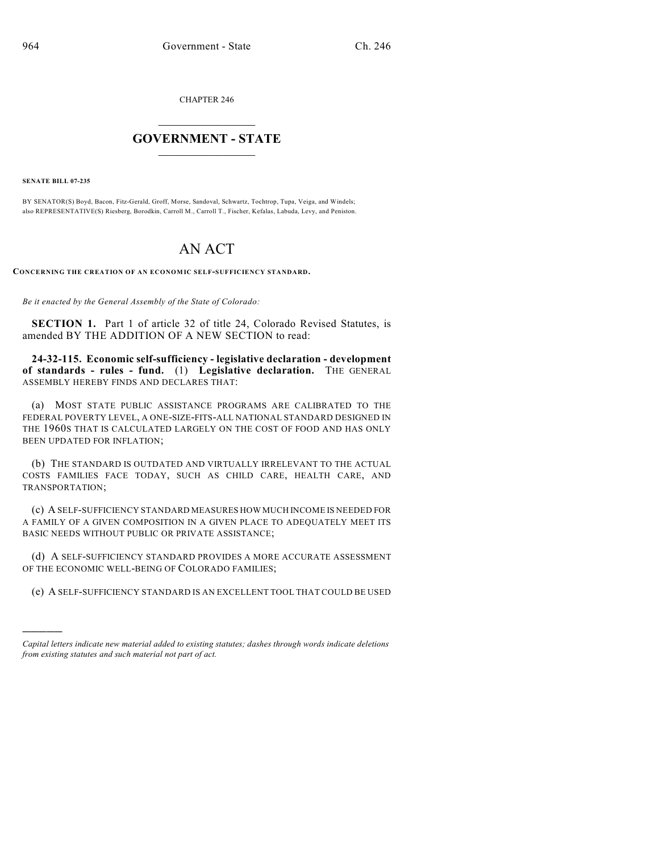CHAPTER 246

## $\mathcal{L}_\text{max}$  . The set of the set of the set of the set of the set of the set of the set of the set of the set of the set of the set of the set of the set of the set of the set of the set of the set of the set of the set **GOVERNMENT - STATE**  $\_$   $\_$   $\_$   $\_$   $\_$   $\_$   $\_$   $\_$

**SENATE BILL 07-235**

)))))

BY SENATOR(S) Boyd, Bacon, Fitz-Gerald, Groff, Morse, Sandoval, Schwartz, Tochtrop, Tupa, Veiga, and Windels; also REPRESENTATIVE(S) Riesberg, Borodkin, Carroll M., Carroll T., Fischer, Kefalas, Labuda, Levy, and Peniston.

## AN ACT

**CONCERNING THE CREATION OF AN ECONOMIC SELF-SUFFICIENCY STANDARD.**

*Be it enacted by the General Assembly of the State of Colorado:*

**SECTION 1.** Part 1 of article 32 of title 24, Colorado Revised Statutes, is amended BY THE ADDITION OF A NEW SECTION to read:

**24-32-115. Economic self-sufficiency - legislative declaration - development of standards - rules - fund.** (1) **Legislative declaration.** THE GENERAL ASSEMBLY HEREBY FINDS AND DECLARES THAT:

(a) MOST STATE PUBLIC ASSISTANCE PROGRAMS ARE CALIBRATED TO THE FEDERAL POVERTY LEVEL, A ONE-SIZE-FITS-ALL NATIONAL STANDARD DESIGNED IN THE 1960S THAT IS CALCULATED LARGELY ON THE COST OF FOOD AND HAS ONLY BEEN UPDATED FOR INFLATION;

(b) THE STANDARD IS OUTDATED AND VIRTUALLY IRRELEVANT TO THE ACTUAL COSTS FAMILIES FACE TODAY, SUCH AS CHILD CARE, HEALTH CARE, AND TRANSPORTATION;

(c) A SELF-SUFFICIENCY STANDARD MEASURES HOW MUCH INCOME IS NEEDED FOR A FAMILY OF A GIVEN COMPOSITION IN A GIVEN PLACE TO ADEQUATELY MEET ITS BASIC NEEDS WITHOUT PUBLIC OR PRIVATE ASSISTANCE;

(d) A SELF-SUFFICIENCY STANDARD PROVIDES A MORE ACCURATE ASSESSMENT OF THE ECONOMIC WELL-BEING OF COLORADO FAMILIES;

(e) A SELF-SUFFICIENCY STANDARD IS AN EXCELLENT TOOL THAT COULD BE USED

*Capital letters indicate new material added to existing statutes; dashes through words indicate deletions from existing statutes and such material not part of act.*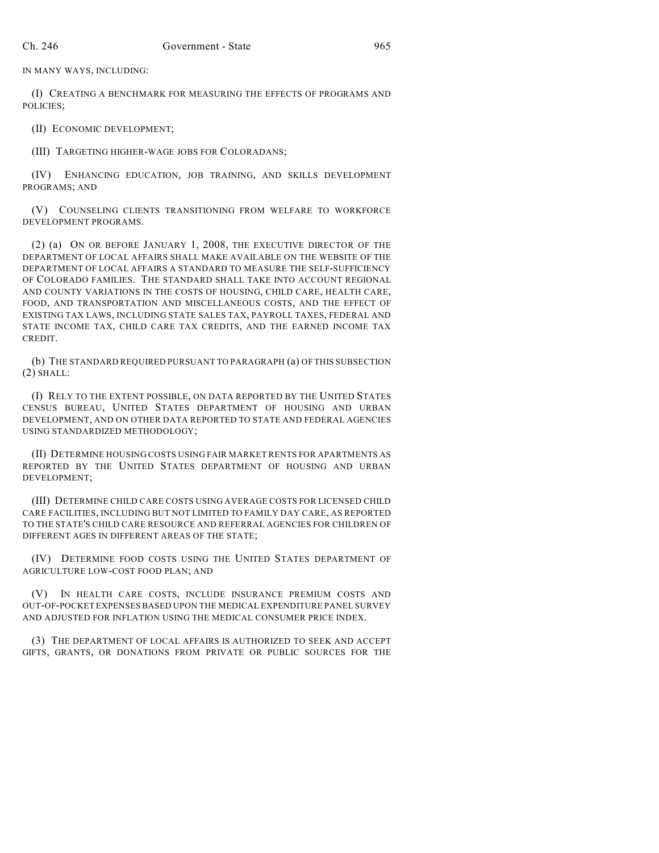IN MANY WAYS, INCLUDING:

(I) CREATING A BENCHMARK FOR MEASURING THE EFFECTS OF PROGRAMS AND POLICIES;

(II) ECONOMIC DEVELOPMENT;

(III) TARGETING HIGHER-WAGE JOBS FOR COLORADANS;

(IV) ENHANCING EDUCATION, JOB TRAINING, AND SKILLS DEVELOPMENT PROGRAMS; AND

(V) COUNSELING CLIENTS TRANSITIONING FROM WELFARE TO WORKFORCE DEVELOPMENT PROGRAMS.

(2) (a) ON OR BEFORE JANUARY 1, 2008, THE EXECUTIVE DIRECTOR OF THE DEPARTMENT OF LOCAL AFFAIRS SHALL MAKE AVAILABLE ON THE WEBSITE OF THE DEPARTMENT OF LOCAL AFFAIRS A STANDARD TO MEASURE THE SELF-SUFFICIENCY OF COLORADO FAMILIES. THE STANDARD SHALL TAKE INTO ACCOUNT REGIONAL AND COUNTY VARIATIONS IN THE COSTS OF HOUSING, CHILD CARE, HEALTH CARE, FOOD, AND TRANSPORTATION AND MISCELLANEOUS COSTS, AND THE EFFECT OF EXISTING TAX LAWS, INCLUDING STATE SALES TAX, PAYROLL TAXES, FEDERAL AND STATE INCOME TAX, CHILD CARE TAX CREDITS, AND THE EARNED INCOME TAX CREDIT.

(b) THE STANDARD REQUIRED PURSUANT TO PARAGRAPH (a) OF THIS SUBSECTION  $(2)$  SHALL:

(I) RELY TO THE EXTENT POSSIBLE, ON DATA REPORTED BY THE UNITED STATES CENSUS BUREAU, UNITED STATES DEPARTMENT OF HOUSING AND URBAN DEVELOPMENT, AND ON OTHER DATA REPORTED TO STATE AND FEDERAL AGENCIES USING STANDARDIZED METHODOLOGY;

(II) DETERMINE HOUSING COSTS USING FAIR MARKET RENTS FOR APARTMENTS AS REPORTED BY THE UNITED STATES DEPARTMENT OF HOUSING AND URBAN DEVELOPMENT;

(III) DETERMINE CHILD CARE COSTS USING AVERAGE COSTS FOR LICENSED CHILD CARE FACILITIES, INCLUDING BUT NOT LIMITED TO FAMILY DAY CARE, AS REPORTED TO THE STATE'S CHILD CARE RESOURCE AND REFERRAL AGENCIES FOR CHILDREN OF DIFFERENT AGES IN DIFFERENT AREAS OF THE STATE;

(IV) DETERMINE FOOD COSTS USING THE UNITED STATES DEPARTMENT OF AGRICULTURE LOW-COST FOOD PLAN; AND

(V) IN HEALTH CARE COSTS, INCLUDE INSURANCE PREMIUM COSTS AND OUT-OF-POCKET EXPENSES BASED UPON THE MEDICAL EXPENDITURE PANEL SURVEY AND ADJUSTED FOR INFLATION USING THE MEDICAL CONSUMER PRICE INDEX.

(3) THE DEPARTMENT OF LOCAL AFFAIRS IS AUTHORIZED TO SEEK AND ACCEPT GIFTS, GRANTS, OR DONATIONS FROM PRIVATE OR PUBLIC SOURCES FOR THE